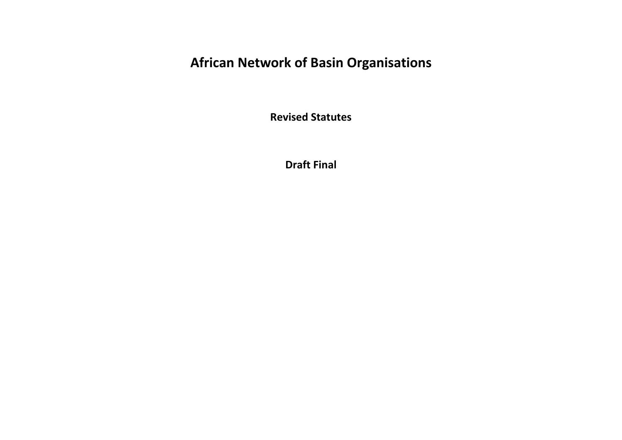## **African Network of Basin Organisations**

**Revised Statutes**

**Draft Final**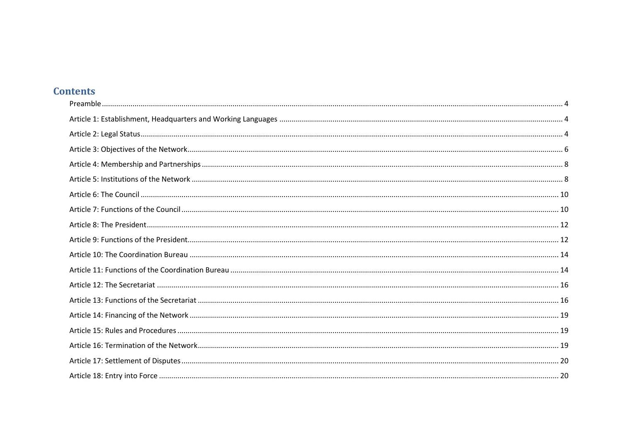## **Contents**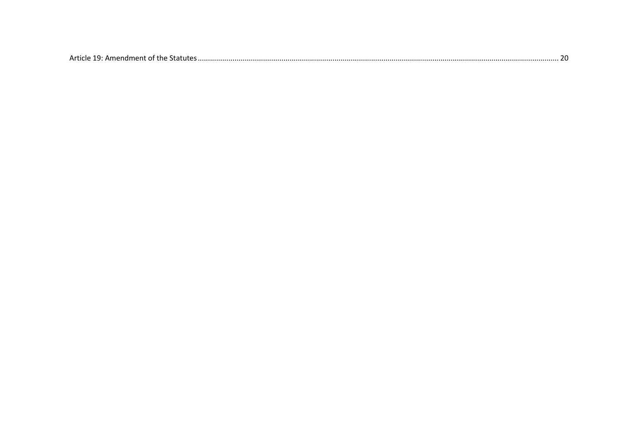|--|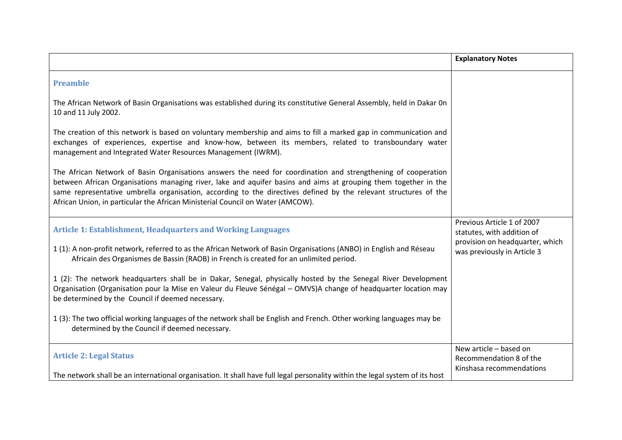<span id="page-3-2"></span><span id="page-3-1"></span><span id="page-3-0"></span>

|                                                                                                                                                                                                                                                                                                                                                                                                                                        | <b>Explanatory Notes</b>                                       |
|----------------------------------------------------------------------------------------------------------------------------------------------------------------------------------------------------------------------------------------------------------------------------------------------------------------------------------------------------------------------------------------------------------------------------------------|----------------------------------------------------------------|
| <b>Preamble</b>                                                                                                                                                                                                                                                                                                                                                                                                                        |                                                                |
| The African Network of Basin Organisations was established during its constitutive General Assembly, held in Dakar On<br>10 and 11 July 2002.                                                                                                                                                                                                                                                                                          |                                                                |
| The creation of this network is based on voluntary membership and aims to fill a marked gap in communication and<br>exchanges of experiences, expertise and know-how, between its members, related to transboundary water<br>management and Integrated Water Resources Management (IWRM).                                                                                                                                              |                                                                |
| The African Network of Basin Organisations answers the need for coordination and strengthening of cooperation<br>between African Organisations managing river, lake and aquifer basins and aims at grouping them together in the<br>same representative umbrella organisation, according to the directives defined by the relevant structures of the<br>African Union, in particular the African Ministerial Council on Water (AMCOW). |                                                                |
| <b>Article 1: Establishment, Headquarters and Working Languages</b>                                                                                                                                                                                                                                                                                                                                                                    | Previous Article 1 of 2007<br>statutes, with addition of       |
| 1 (1): A non-profit network, referred to as the African Network of Basin Organisations (ANBO) in English and Réseau<br>Africain des Organismes de Bassin (RAOB) in French is created for an unlimited period.                                                                                                                                                                                                                          | provision on headquarter, which<br>was previously in Article 3 |
| 1 (2): The network headquarters shall be in Dakar, Senegal, physically hosted by the Senegal River Development<br>Organisation (Organisation pour la Mise en Valeur du Fleuve Sénégal - OMVS)A change of headquarter location may<br>be determined by the Council if deemed necessary.                                                                                                                                                 |                                                                |
| 1 (3): The two official working languages of the network shall be English and French. Other working languages may be<br>determined by the Council if deemed necessary.                                                                                                                                                                                                                                                                 |                                                                |
| <b>Article 2: Legal Status</b>                                                                                                                                                                                                                                                                                                                                                                                                         | New article - based on<br>Recommendation 8 of the              |
| The network shall be an international organisation. It shall have full legal personality within the legal system of its host                                                                                                                                                                                                                                                                                                           | Kinshasa recommendations                                       |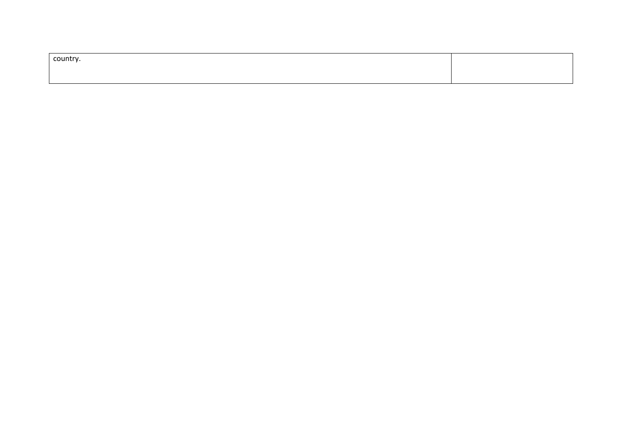| country. |  |
|----------|--|
|          |  |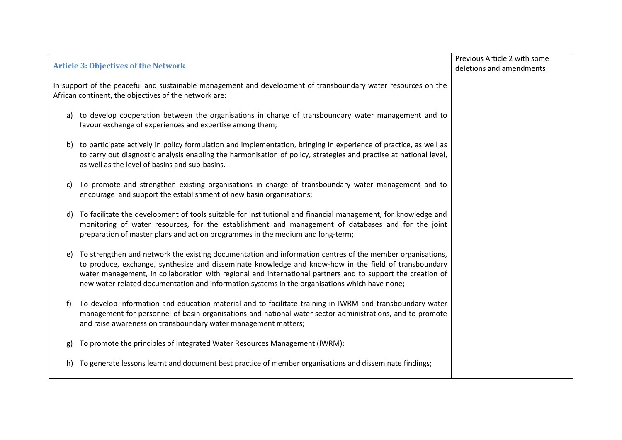<span id="page-5-0"></span>

|            |                                                                                                                                                                                                                                                                                                                                                                                                                                   | Previous Article 2 with some |
|------------|-----------------------------------------------------------------------------------------------------------------------------------------------------------------------------------------------------------------------------------------------------------------------------------------------------------------------------------------------------------------------------------------------------------------------------------|------------------------------|
|            | <b>Article 3: Objectives of the Network</b>                                                                                                                                                                                                                                                                                                                                                                                       | deletions and amendments     |
|            | In support of the peaceful and sustainable management and development of transboundary water resources on the<br>African continent, the objectives of the network are:                                                                                                                                                                                                                                                            |                              |
|            | a) to develop cooperation between the organisations in charge of transboundary water management and to<br>favour exchange of experiences and expertise among them;                                                                                                                                                                                                                                                                |                              |
| b)         | to participate actively in policy formulation and implementation, bringing in experience of practice, as well as<br>to carry out diagnostic analysis enabling the harmonisation of policy, strategies and practise at national level,<br>as well as the level of basins and sub-basins.                                                                                                                                           |                              |
| C)         | To promote and strengthen existing organisations in charge of transboundary water management and to<br>encourage and support the establishment of new basin organisations;                                                                                                                                                                                                                                                        |                              |
| d)         | To facilitate the development of tools suitable for institutional and financial management, for knowledge and<br>monitoring of water resources, for the establishment and management of databases and for the joint<br>preparation of master plans and action programmes in the medium and long-term;                                                                                                                             |                              |
| e)         | To strengthen and network the existing documentation and information centres of the member organisations,<br>to produce, exchange, synthesize and disseminate knowledge and know-how in the field of transboundary<br>water management, in collaboration with regional and international partners and to support the creation of<br>new water-related documentation and information systems in the organisations which have none; |                              |
| $\uparrow$ | To develop information and education material and to facilitate training in IWRM and transboundary water<br>management for personnel of basin organisations and national water sector administrations, and to promote<br>and raise awareness on transboundary water management matters;                                                                                                                                           |                              |
| g)         | To promote the principles of Integrated Water Resources Management (IWRM);                                                                                                                                                                                                                                                                                                                                                        |                              |
|            | To generate lessons learnt and document best practice of member organisations and disseminate findings;                                                                                                                                                                                                                                                                                                                           |                              |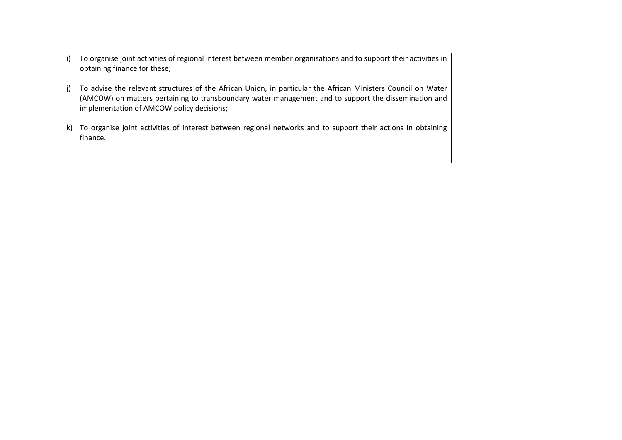|    | To organise joint activities of regional interest between member organisations and to support their activities in<br>obtaining finance for these;                                                                                                                 |  |
|----|-------------------------------------------------------------------------------------------------------------------------------------------------------------------------------------------------------------------------------------------------------------------|--|
|    | To advise the relevant structures of the African Union, in particular the African Ministers Council on Water<br>(AMCOW) on matters pertaining to transboundary water management and to support the dissemination and<br>implementation of AMCOW policy decisions; |  |
| k) | To organise joint activities of interest between regional networks and to support their actions in obtaining<br>finance.                                                                                                                                          |  |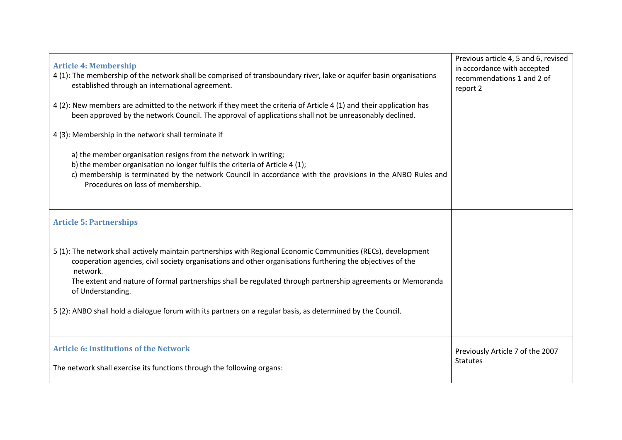<span id="page-7-1"></span><span id="page-7-0"></span>

| <b>Article 4: Membership</b><br>4 (1): The membership of the network shall be comprised of transboundary river, lake or aquifer basin organisations<br>established through an international agreement.                                                                                                                                                                       | Previous article 4, 5 and 6, revised<br>in accordance with accepted<br>recommendations 1 and 2 of<br>report 2 |
|------------------------------------------------------------------------------------------------------------------------------------------------------------------------------------------------------------------------------------------------------------------------------------------------------------------------------------------------------------------------------|---------------------------------------------------------------------------------------------------------------|
| 4 (2): New members are admitted to the network if they meet the criteria of Article 4 (1) and their application has<br>been approved by the network Council. The approval of applications shall not be unreasonably declined.                                                                                                                                                |                                                                                                               |
| 4 (3): Membership in the network shall terminate if                                                                                                                                                                                                                                                                                                                          |                                                                                                               |
| a) the member organisation resigns from the network in writing;<br>b) the member organisation no longer fulfils the criteria of Article 4 (1);<br>c) membership is terminated by the network Council in accordance with the provisions in the ANBO Rules and<br>Procedures on loss of membership.                                                                            |                                                                                                               |
| <b>Article 5: Partnerships</b>                                                                                                                                                                                                                                                                                                                                               |                                                                                                               |
| 5 (1): The network shall actively maintain partnerships with Regional Economic Communities (RECs), development<br>cooperation agencies, civil society organisations and other organisations furthering the objectives of the<br>network.<br>The extent and nature of formal partnerships shall be regulated through partnership agreements or Memoranda<br>of Understanding. |                                                                                                               |
| 5 (2): ANBO shall hold a dialogue forum with its partners on a regular basis, as determined by the Council.                                                                                                                                                                                                                                                                  |                                                                                                               |
| <b>Article 6: Institutions of the Network</b>                                                                                                                                                                                                                                                                                                                                | Previously Article 7 of the 2007                                                                              |
| The network shall exercise its functions through the following organs:                                                                                                                                                                                                                                                                                                       | <b>Statutes</b>                                                                                               |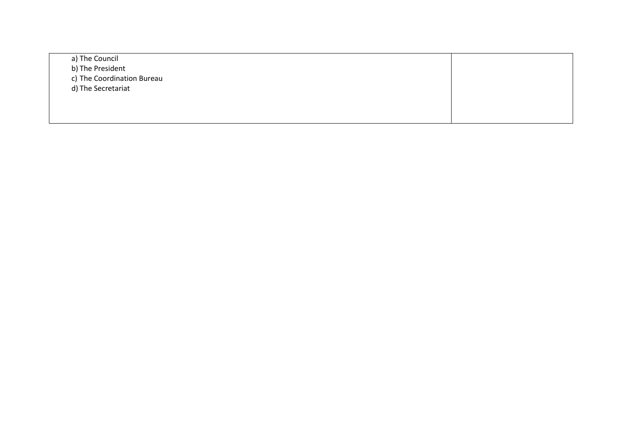| a) The Council             |  |
|----------------------------|--|
| b) The President           |  |
| c) The Coordination Bureau |  |
| d) The Secretariat         |  |
|                            |  |
|                            |  |
|                            |  |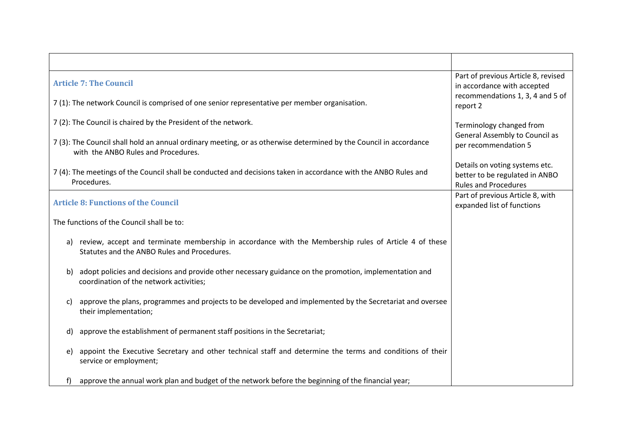<span id="page-9-1"></span><span id="page-9-0"></span>

|    | <b>Article 7: The Council</b>                                                                                                                            | Part of previous Article 8, revised<br>in accordance with accepted                              |
|----|----------------------------------------------------------------------------------------------------------------------------------------------------------|-------------------------------------------------------------------------------------------------|
|    | 7 (1): The network Council is comprised of one senior representative per member organisation.                                                            | recommendations 1, 3, 4 and 5 of<br>report 2                                                    |
|    | 7 (2): The Council is chaired by the President of the network.                                                                                           | Terminology changed from                                                                        |
|    | 7 (3): The Council shall hold an annual ordinary meeting, or as otherwise determined by the Council in accordance<br>with the ANBO Rules and Procedures. | General Assembly to Council as<br>per recommendation 5                                          |
|    | 7 (4): The meetings of the Council shall be conducted and decisions taken in accordance with the ANBO Rules and<br>Procedures.                           | Details on voting systems etc.<br>better to be regulated in ANBO<br><b>Rules and Procedures</b> |
|    | <b>Article 8: Functions of the Council</b>                                                                                                               | Part of previous Article 8, with<br>expanded list of functions                                  |
|    | The functions of the Council shall be to:                                                                                                                |                                                                                                 |
| a) | review, accept and terminate membership in accordance with the Membership rules of Article 4 of these<br>Statutes and the ANBO Rules and Procedures.     |                                                                                                 |
| b) | adopt policies and decisions and provide other necessary guidance on the promotion, implementation and<br>coordination of the network activities;        |                                                                                                 |
| C) | approve the plans, programmes and projects to be developed and implemented by the Secretariat and oversee<br>their implementation;                       |                                                                                                 |
| d) | approve the establishment of permanent staff positions in the Secretariat;                                                                               |                                                                                                 |
| e) | appoint the Executive Secretary and other technical staff and determine the terms and conditions of their<br>service or employment;                      |                                                                                                 |
| f) | approve the annual work plan and budget of the network before the beginning of the financial year;                                                       |                                                                                                 |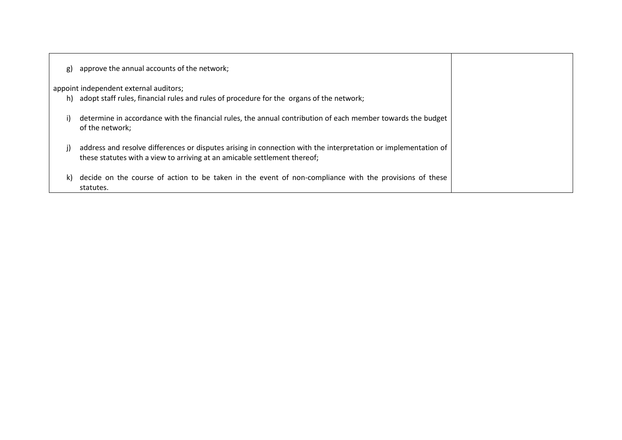| g) | approve the annual accounts of the network;                                                                                                                                                 |  |
|----|---------------------------------------------------------------------------------------------------------------------------------------------------------------------------------------------|--|
| h) | appoint independent external auditors;<br>adopt staff rules, financial rules and rules of procedure for the organs of the network;                                                          |  |
|    | determine in accordance with the financial rules, the annual contribution of each member towards the budget<br>of the network;                                                              |  |
|    | address and resolve differences or disputes arising in connection with the interpretation or implementation of<br>these statutes with a view to arriving at an amicable settlement thereof; |  |
| k) | decide on the course of action to be taken in the event of non-compliance with the provisions of these<br>statutes.                                                                         |  |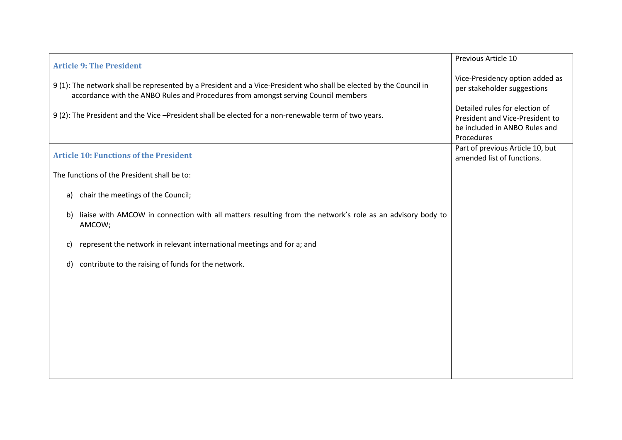<span id="page-11-1"></span><span id="page-11-0"></span>

|    | <b>Article 9: The President</b>                                                                                                                                                                          | Previous Article 10                                                                                              |
|----|----------------------------------------------------------------------------------------------------------------------------------------------------------------------------------------------------------|------------------------------------------------------------------------------------------------------------------|
|    | 9 (1): The network shall be represented by a President and a Vice-President who shall be elected by the Council in<br>accordance with the ANBO Rules and Procedures from amongst serving Council members | Vice-Presidency option added as<br>per stakeholder suggestions                                                   |
|    | 9 (2): The President and the Vice -President shall be elected for a non-renewable term of two years.                                                                                                     | Detailed rules for election of<br>President and Vice-President to<br>be included in ANBO Rules and<br>Procedures |
|    | <b>Article 10: Functions of the President</b>                                                                                                                                                            | Part of previous Article 10, but<br>amended list of functions.                                                   |
|    | The functions of the President shall be to:                                                                                                                                                              |                                                                                                                  |
| a) | chair the meetings of the Council;                                                                                                                                                                       |                                                                                                                  |
| b) | liaise with AMCOW in connection with all matters resulting from the network's role as an advisory body to<br>AMCOW;                                                                                      |                                                                                                                  |
| C) | represent the network in relevant international meetings and for a; and                                                                                                                                  |                                                                                                                  |
| d) | contribute to the raising of funds for the network.                                                                                                                                                      |                                                                                                                  |
|    |                                                                                                                                                                                                          |                                                                                                                  |
|    |                                                                                                                                                                                                          |                                                                                                                  |
|    |                                                                                                                                                                                                          |                                                                                                                  |
|    |                                                                                                                                                                                                          |                                                                                                                  |
|    |                                                                                                                                                                                                          |                                                                                                                  |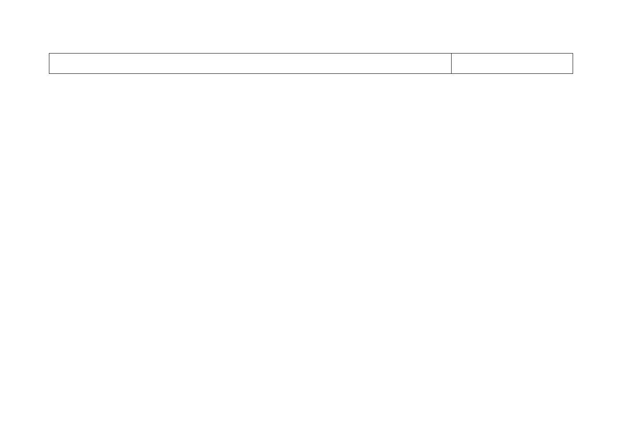| ,一个人的人都是一个人的人,我们也不会不会不会。""我们,我们也不会不会不会不会不会不会不会。""我们,我们也不会不会不会不会不会。""我们,我们也不会不会不会 |  |
|----------------------------------------------------------------------------------|--|
|                                                                                  |  |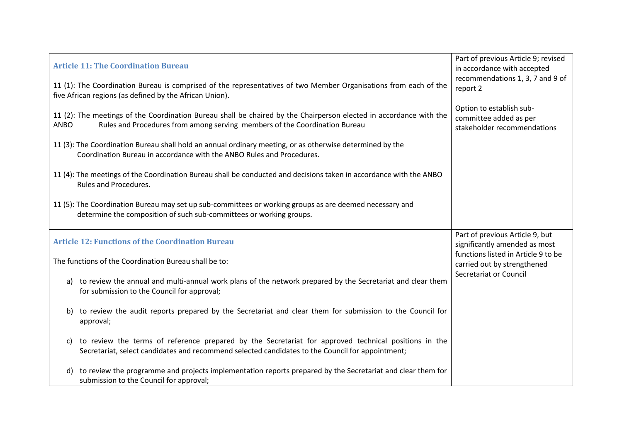<span id="page-13-1"></span><span id="page-13-0"></span>

| <b>Article 11: The Coordination Bureau</b>                                                                                                                                                                     | Part of previous Article 9; revised<br>in accordance with accepted                |
|----------------------------------------------------------------------------------------------------------------------------------------------------------------------------------------------------------------|-----------------------------------------------------------------------------------|
| 11 (1): The Coordination Bureau is comprised of the representatives of two Member Organisations from each of the<br>five African regions (as defined by the African Union).                                    | recommendations 1, 3, 7 and 9 of<br>report 2                                      |
| 11 (2): The meetings of the Coordination Bureau shall be chaired by the Chairperson elected in accordance with the<br>Rules and Procedures from among serving members of the Coordination Bureau<br>ANBO       | Option to establish sub-<br>committee added as per<br>stakeholder recommendations |
| 11 (3): The Coordination Bureau shall hold an annual ordinary meeting, or as otherwise determined by the<br>Coordination Bureau in accordance with the ANBO Rules and Procedures.                              |                                                                                   |
| 11 (4): The meetings of the Coordination Bureau shall be conducted and decisions taken in accordance with the ANBO<br><b>Rules and Procedures.</b>                                                             |                                                                                   |
| 11 (5): The Coordination Bureau may set up sub-committees or working groups as are deemed necessary and<br>determine the composition of such sub-committees or working groups.                                 |                                                                                   |
| <b>Article 12: Functions of the Coordination Bureau</b>                                                                                                                                                        | Part of previous Article 9, but<br>significantly amended as most                  |
| The functions of the Coordination Bureau shall be to:                                                                                                                                                          | functions listed in Article 9 to be<br>carried out by strengthened                |
| a) to review the annual and multi-annual work plans of the network prepared by the Secretariat and clear them<br>for submission to the Council for approval;                                                   | Secretariat or Council                                                            |
| b) to review the audit reports prepared by the Secretariat and clear them for submission to the Council for<br>approval;                                                                                       |                                                                                   |
| to review the terms of reference prepared by the Secretariat for approved technical positions in the<br>C)<br>Secretariat, select candidates and recommend selected candidates to the Council for appointment; |                                                                                   |
| to review the programme and projects implementation reports prepared by the Secretariat and clear them for<br>d)<br>submission to the Council for approval;                                                    |                                                                                   |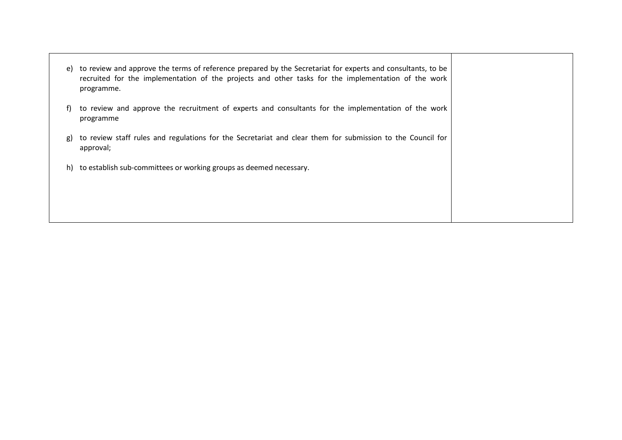| e) | to review and approve the terms of reference prepared by the Secretariat for experts and consultants, to be<br>recruited for the implementation of the projects and other tasks for the implementation of the work<br>programme. |
|----|----------------------------------------------------------------------------------------------------------------------------------------------------------------------------------------------------------------------------------|
|    | to review and approve the recruitment of experts and consultants for the implementation of the work<br>programme                                                                                                                 |
| g) | to review staff rules and regulations for the Secretariat and clear them for submission to the Council for<br>approval;                                                                                                          |
| h) | to establish sub-committees or working groups as deemed necessary.                                                                                                                                                               |
|    |                                                                                                                                                                                                                                  |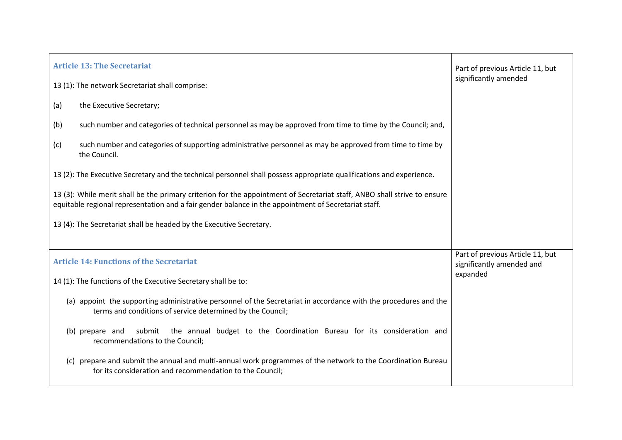<span id="page-15-1"></span><span id="page-15-0"></span>

| <b>Article 13: The Secretariat</b>                                                                                                                                                                                               | Part of previous Article 11, but      |
|----------------------------------------------------------------------------------------------------------------------------------------------------------------------------------------------------------------------------------|---------------------------------------|
| 13 (1): The network Secretariat shall comprise:                                                                                                                                                                                  | significantly amended                 |
| the Executive Secretary;<br>(a)                                                                                                                                                                                                  |                                       |
| such number and categories of technical personnel as may be approved from time to time by the Council; and,<br>(b)                                                                                                               |                                       |
| such number and categories of supporting administrative personnel as may be approved from time to time by<br>(c)<br>the Council.                                                                                                 |                                       |
| 13 (2): The Executive Secretary and the technical personnel shall possess appropriate qualifications and experience.                                                                                                             |                                       |
| 13 (3): While merit shall be the primary criterion for the appointment of Secretariat staff, ANBO shall strive to ensure<br>equitable regional representation and a fair gender balance in the appointment of Secretariat staff. |                                       |
| 13 (4): The Secretariat shall be headed by the Executive Secretary.                                                                                                                                                              |                                       |
|                                                                                                                                                                                                                                  | Part of previous Article 11, but      |
| <b>Article 14: Functions of the Secretariat</b>                                                                                                                                                                                  | significantly amended and<br>expanded |
| 14 (1): The functions of the Executive Secretary shall be to:                                                                                                                                                                    |                                       |
| (a) appoint the supporting administrative personnel of the Secretariat in accordance with the procedures and the<br>terms and conditions of service determined by the Council;                                                   |                                       |
| submit the annual budget to the Coordination Bureau for its consideration and<br>(b) prepare and<br>recommendations to the Council;                                                                                              |                                       |
| (c) prepare and submit the annual and multi-annual work programmes of the network to the Coordination Bureau<br>for its consideration and recommendation to the Council;                                                         |                                       |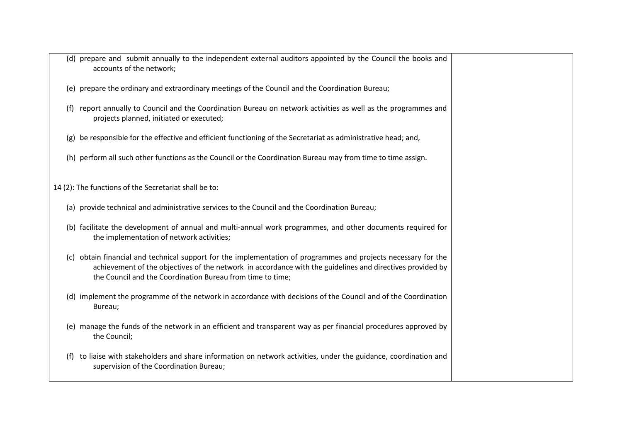|     | (d) prepare and submit annually to the independent external auditors appointed by the Council the books and<br>accounts of the network;                                                                                                                                                   |  |
|-----|-------------------------------------------------------------------------------------------------------------------------------------------------------------------------------------------------------------------------------------------------------------------------------------------|--|
|     | (e) prepare the ordinary and extraordinary meetings of the Council and the Coordination Bureau;                                                                                                                                                                                           |  |
|     | report annually to Council and the Coordination Bureau on network activities as well as the programmes and<br>projects planned, initiated or executed;                                                                                                                                    |  |
| (g) | be responsible for the effective and efficient functioning of the Secretariat as administrative head; and,                                                                                                                                                                                |  |
|     | (h) perform all such other functions as the Council or the Coordination Bureau may from time to time assign.                                                                                                                                                                              |  |
|     | 14 (2): The functions of the Secretariat shall be to:                                                                                                                                                                                                                                     |  |
|     | (a) provide technical and administrative services to the Council and the Coordination Bureau;                                                                                                                                                                                             |  |
|     | (b) facilitate the development of annual and multi-annual work programmes, and other documents required for<br>the implementation of network activities;                                                                                                                                  |  |
|     | (c) obtain financial and technical support for the implementation of programmes and projects necessary for the<br>achievement of the objectives of the network in accordance with the guidelines and directives provided by<br>the Council and the Coordination Bureau from time to time; |  |
|     | (d) implement the programme of the network in accordance with decisions of the Council and of the Coordination<br>Bureau;                                                                                                                                                                 |  |
|     | (e) manage the funds of the network in an efficient and transparent way as per financial procedures approved by<br>the Council;                                                                                                                                                           |  |
|     | (f) to liaise with stakeholders and share information on network activities, under the guidance, coordination and<br>supervision of the Coordination Bureau;                                                                                                                              |  |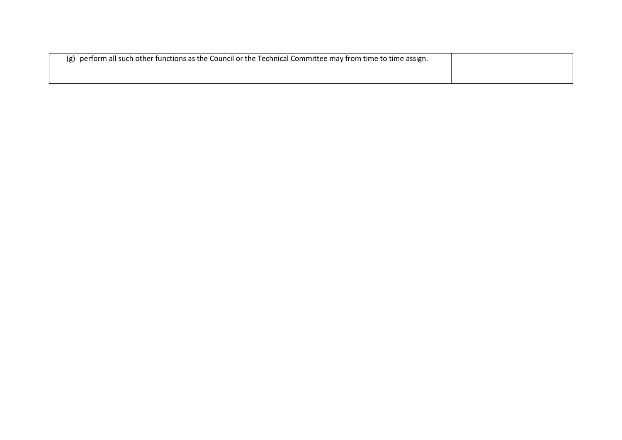| perform all such other functions as the Council or the Technical Committee may from time to time assign.<br>(g) |  |
|-----------------------------------------------------------------------------------------------------------------|--|
|                                                                                                                 |  |
|                                                                                                                 |  |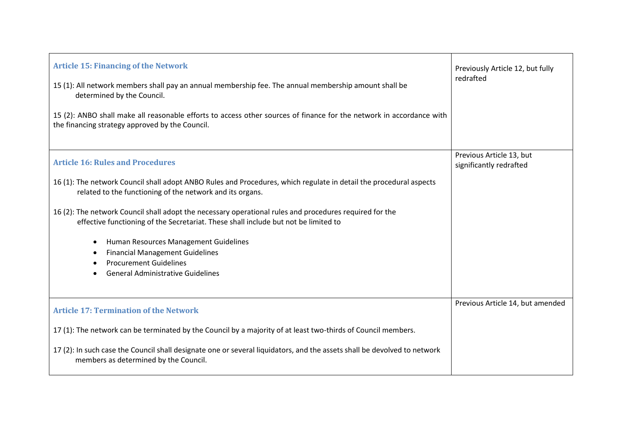<span id="page-18-2"></span><span id="page-18-1"></span><span id="page-18-0"></span>

| <b>Article 15: Financing of the Network</b><br>15 (1): All network members shall pay an annual membership fee. The annual membership amount shall be<br>determined by the Council.             | Previously Article 12, but fully<br>redrafted       |
|------------------------------------------------------------------------------------------------------------------------------------------------------------------------------------------------|-----------------------------------------------------|
| 15 (2): ANBO shall make all reasonable efforts to access other sources of finance for the network in accordance with<br>the financing strategy approved by the Council.                        |                                                     |
| <b>Article 16: Rules and Procedures</b>                                                                                                                                                        | Previous Article 13, but<br>significantly redrafted |
| 16 (1): The network Council shall adopt ANBO Rules and Procedures, which regulate in detail the procedural aspects<br>related to the functioning of the network and its organs.                |                                                     |
| 16 (2): The network Council shall adopt the necessary operational rules and procedures required for the<br>effective functioning of the Secretariat. These shall include but not be limited to |                                                     |
| Human Resources Management Guidelines                                                                                                                                                          |                                                     |
| <b>Financial Management Guidelines</b>                                                                                                                                                         |                                                     |
| <b>Procurement Guidelines</b><br><b>General Administrative Guidelines</b>                                                                                                                      |                                                     |
| <b>Article 17: Termination of the Network</b>                                                                                                                                                  | Previous Article 14, but amended                    |
| 17 (1): The network can be terminated by the Council by a majority of at least two-thirds of Council members.                                                                                  |                                                     |
| 17 (2): In such case the Council shall designate one or several liquidators, and the assets shall be devolved to network<br>members as determined by the Council.                              |                                                     |